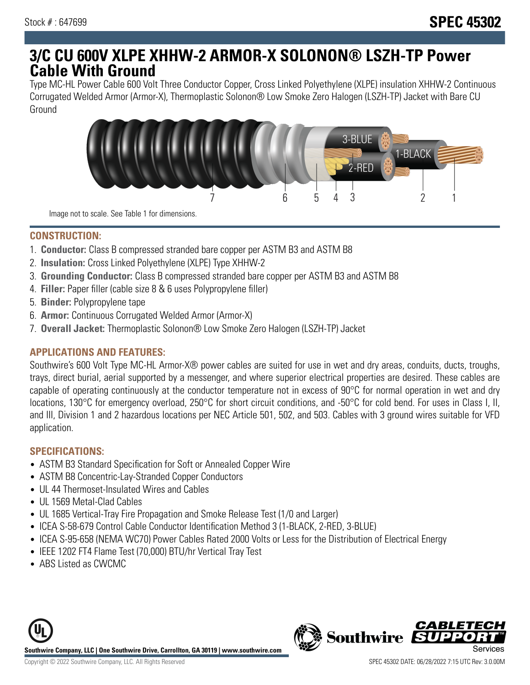# **3/C CU 600V XLPE XHHW-2 ARMOR-X SOLONON® LSZH-TP Power Cable With Ground**

Type MC-HL Power Cable 600 Volt Three Conductor Copper, Cross Linked Polyethylene (XLPE) insulation XHHW-2 Continuous Corrugated Welded Armor (Armor-X), Thermoplastic Solonon® Low Smoke Zero Halogen (LSZH-TP) Jacket with Bare CU Ground



Image not to scale. See Table 1 for dimensions.

### **CONSTRUCTION:**

- 1. **Conductor:** Class B compressed stranded bare copper per ASTM B3 and ASTM B8
- 2. **Insulation:** Cross Linked Polyethylene (XLPE) Type XHHW-2
- 3. **Grounding Conductor:** Class B compressed stranded bare copper per ASTM B3 and ASTM B8
- 4. **Filler:** Paper filler (cable size 8 & 6 uses Polypropylene filler)
- 5. **Binder:** Polypropylene tape
- 6. **Armor:** Continuous Corrugated Welded Armor (Armor-X)
- 7. **Overall Jacket:** Thermoplastic Solonon® Low Smoke Zero Halogen (LSZH-TP) Jacket

## **APPLICATIONS AND FEATURES:**

Southwire's 600 Volt Type MC-HL Armor-X® power cables are suited for use in wet and dry areas, conduits, ducts, troughs, trays, direct burial, aerial supported by a messenger, and where superior electrical properties are desired. These cables are capable of operating continuously at the conductor temperature not in excess of 90°C for normal operation in wet and dry locations, 130°C for emergency overload, 250°C for short circuit conditions, and -50°C for cold bend. For uses in Class I, II, and III, Division 1 and 2 hazardous locations per NEC Article 501, 502, and 503. Cables with 3 ground wires suitable for VFD application.

#### **SPECIFICATIONS:**

- ASTM B3 Standard Specification for Soft or Annealed Copper Wire
- ASTM B8 Concentric-Lay-Stranded Copper Conductors
- UL 44 Thermoset-Insulated Wires and Cables
- UL 1569 Metal-Clad Cables
- UL 1685 Vertical-Tray Fire Propagation and Smoke Release Test (1/0 and Larger)
- ICEA S-58-679 Control Cable Conductor Identification Method 3 (1-BLACK, 2-RED, 3-BLUE)
- ICEA S-95-658 (NEMA WC70) Power Cables Rated 2000 Volts or Less for the Distribution of Electrical Energy
- IEEE 1202 FT4 Flame Test (70,000) BTU/hr Vertical Tray Test
- ABS Listed as CWCMC